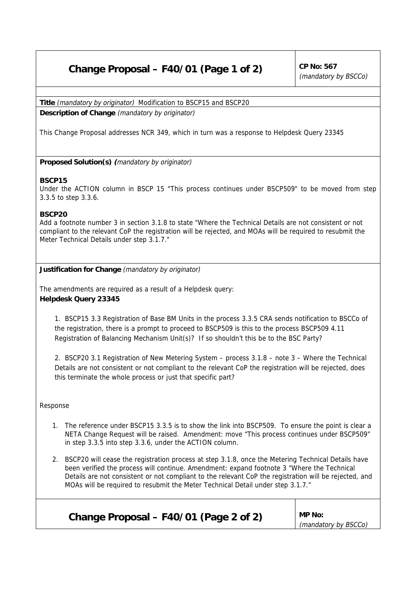## **Change Proposal – F40/01 (Page 1 of 2)**  $\vert$  CP No: 567

(mandatory by BSCCo)

**Title** (mandatory by originator) Modification to BSCP15 and BSCP20

**Description of Change** (mandatory by originator)

This Change Proposal addresses NCR 349, which in turn was a response to Helpdesk Query 23345

**Proposed Solution(s) (**mandatory by originator)

## **BSCP15**

Under the ACTION column in BSCP 15 "This process continues under BSCP509" to be moved from step 3.3.5 to step 3.3.6.

## **BSCP20**

Add a footnote number 3 in section 3.1.8 to state "Where the Technical Details are not consistent or not compliant to the relevant CoP the registration will be rejected, and MOAs will be required to resubmit the Meter Technical Details under step 3.1.7."

**Justification for Change** (mandatory by originator)

The amendments are required as a result of a Helpdesk query: **Helpdesk Query 23345**

1. BSCP15 3.3 Registration of Base BM Units in the process 3.3.5 CRA sends notification to BSCCo of the registration, there is a prompt to proceed to BSCP509 is this to the process BSCP509 4.11 Registration of Balancing Mechanism Unit(s)? If so shouldn't this be to the BSC Party?

2. BSCP20 3.1 Registration of New Metering System – process 3.1.8 – note 3 – Where the Technical Details are not consistent or not compliant to the relevant CoP the registration will be rejected, does this terminate the whole process or just that specific part?

Response

- 1. The reference under BSCP15 3.3.5 is to show the link into BSCP509. To ensure the point is clear a NETA Change Request will be raised. Amendment: move "This process continues under BSCP509" in step 3.3.5 into step 3.3.6, under the ACTION column.
- 2. BSCP20 will cease the registration process at step 3.1.8, once the Metering Technical Details have been verified the process will continue. Amendment: expand footnote 3 "Where the Technical Details are not consistent or not compliant to the relevant CoP the registration will be rejected, and MOAs will be required to resubmit the Meter Technical Detail under step 3.1.7."

| Change Proposal - F40/01 (Page 2 of 2) | <b>MP No:</b>        |  |
|----------------------------------------|----------------------|--|
|                                        | (mandatory by BSCCo) |  |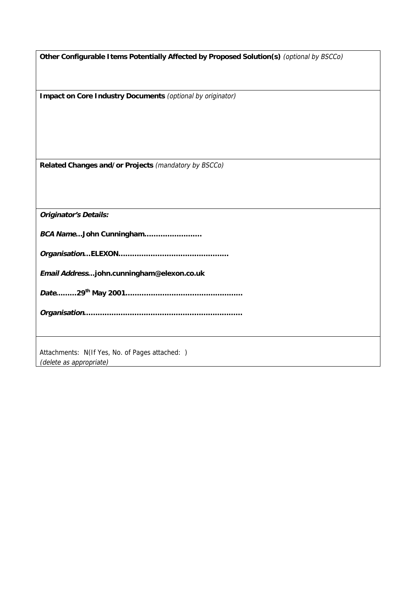| Other Configurable I tems Potentially Affected by Proposed Solution(s) (optional by BSCCo) |  |
|--------------------------------------------------------------------------------------------|--|
|--------------------------------------------------------------------------------------------|--|

**Impact on Core Industry Documents** (optional by originator)

**Related Changes and/or Projects** (mandatory by BSCCo)

**Originator's Details:**

**BCA Name…John Cunningham…………………….**

**Organisation…ELEXON…………………………………………**

**Email Address…john.cunningham@elexon.co.uk**

**Date………29th May 2001……………………………………………**

**Organisation……………………………………………………………**

Attachments: N(If Yes, No. of Pages attached: ) (delete as appropriate)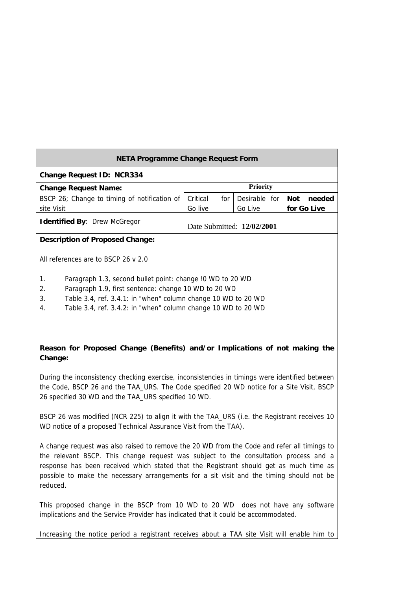| NETA Programme Change Request Form                                                                                                                                                                                                                                                                                                                                                    |                            |                          |                              |  |
|---------------------------------------------------------------------------------------------------------------------------------------------------------------------------------------------------------------------------------------------------------------------------------------------------------------------------------------------------------------------------------------|----------------------------|--------------------------|------------------------------|--|
| Change Request ID: NCR334                                                                                                                                                                                                                                                                                                                                                             |                            |                          |                              |  |
| <b>Change Request Name:</b>                                                                                                                                                                                                                                                                                                                                                           | <b>Priority</b>            |                          |                              |  |
| BSCP 26; Change to timing of notification of<br>site Visit                                                                                                                                                                                                                                                                                                                            | Critical<br>for<br>Go live | Desirable for<br>Go Live | needed<br>Not<br>for Go Live |  |
| <b>Identified By: Drew McGregor</b>                                                                                                                                                                                                                                                                                                                                                   | Date Submitted: 12/02/2001 |                          |                              |  |
| Description of Proposed Change:                                                                                                                                                                                                                                                                                                                                                       |                            |                          |                              |  |
| All references are to BSCP 26 v 2.0                                                                                                                                                                                                                                                                                                                                                   |                            |                          |                              |  |
| 1.<br>Paragraph 1.3, second bullet point: change !0 WD to 20 WD<br>2.<br>Paragraph 1.9, first sentence: change 10 WD to 20 WD<br>3.<br>Table 3.4, ref. 3.4.1: in "when" column change 10 WD to 20 WD<br>Table 3.4, ref. 3.4.2: in "when" column change 10 WD to 20 WD<br>4.                                                                                                           |                            |                          |                              |  |
| Reason for Proposed Change (Benefits) and/or Implications of not making the<br>Change:                                                                                                                                                                                                                                                                                                |                            |                          |                              |  |
| During the inconsistency checking exercise, inconsistencies in timings were identified between<br>the Code, BSCP 26 and the TAA_URS. The Code specified 20 WD notice for a Site Visit, BSCP<br>26 specified 30 WD and the TAA_URS specified 10 WD.                                                                                                                                    |                            |                          |                              |  |
| BSCP 26 was modified (NCR 225) to align it with the TAA_URS (i.e. the Registrant receives 10<br>WD notice of a proposed Technical Assurance Visit from the TAA).                                                                                                                                                                                                                      |                            |                          |                              |  |
| A change request was also raised to remove the 20 WD from the Code and refer all timings to<br>the relevant BSCP. This change request was subject to the consultation process and a<br>response has been received which stated that the Registrant should get as much time as<br>possible to make the necessary arrangements for a sit visit and the timing should not be<br>reduced. |                            |                          |                              |  |

This proposed change in the BSCP from 10 WD to 20 WD does not have any software implications and the Service Provider has indicated that it could be accommodated.

Increasing the notice period a registrant receives about a TAA site Visit will enable him to